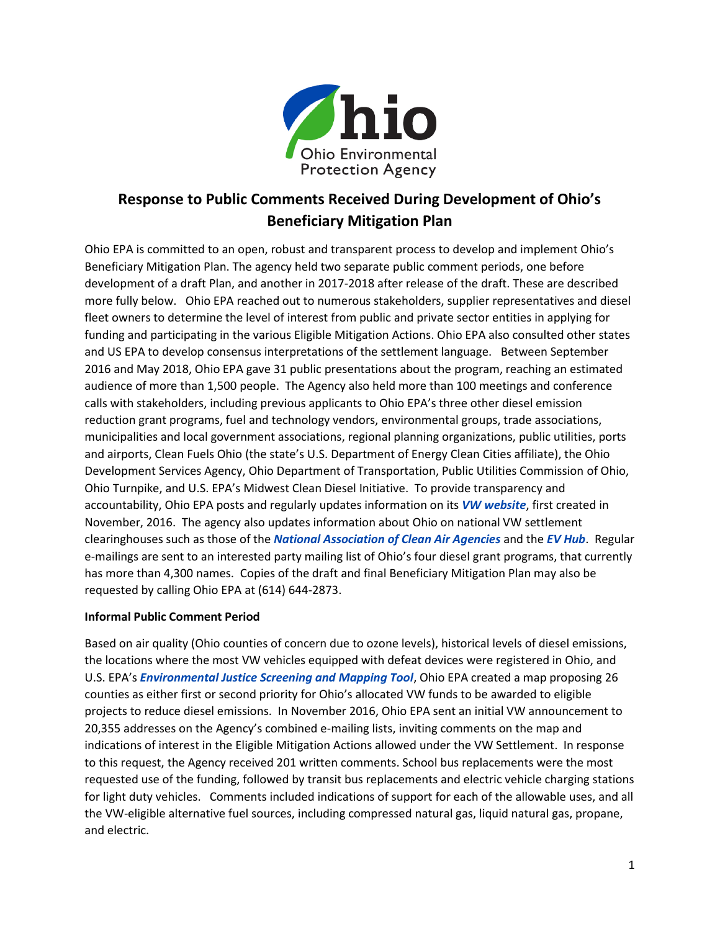

# **Response to Public Comments Received During Development of Ohio's Beneficiary Mitigation Plan**

Ohio EPA is committed to an open, robust and transparent process to develop and implement Ohio's Beneficiary Mitigation Plan. The agency held two separate public comment periods, one before development of a draft Plan, and another in 2017-2018 after release of the draft. These are described more fully below. Ohio EPA reached out to numerous stakeholders, supplier representatives and diesel fleet owners to determine the level of interest from public and private sector entities in applying for funding and participating in the various Eligible Mitigation Actions. Ohio EPA also consulted other states and US EPA to develop consensus interpretations of the settlement language. Between September 2016 and May 2018, Ohio EPA gave 31 public presentations about the program, reaching an estimated audience of more than 1,500 people. The Agency also held more than 100 meetings and conference calls with stakeholders, including previous applicants to Ohio EPA's three other diesel emission reduction grant programs, fuel and technology vendors, environmental groups, trade associations, municipalities and local government associations, regional planning organizations, public utilities, ports and airports, Clean Fuels Ohio (the state's U.S. Department of Energy Clean Cities affiliate), the Ohio Development Services Agency, Ohio Department of Transportation, Public Utilities Commission of Ohio, Ohio Turnpike, and U.S. EPA's Midwest Clean Diesel Initiative. To provide transparency and accountability, Ohio EPA posts and regularly updates information on its *[VW website](http://epa.ohio.gov/oee/EnvironmentalEducation.aspx#131365122-vw-mitigation-grants)*, first created in November, 2016. The agency also updates information about Ohio on national VW settlement clearinghouses such as those of the *[National Association of Clean Air Agencies](http://4cleanair.org/Volkswagen_Settlement_Information)* and the *[EV Hub](https://www.atlasevhub.com/)*. Regular e-mailings are sent to an interested party mailing list of Ohio's four diesel grant programs, that currently has more than 4,300 names. Copies of the draft and final Beneficiary Mitigation Plan may also be requested by calling Ohio EPA at (614) 644-2873.

# **Informal Public Comment Period**

Based on air quality (Ohio counties of concern due to ozone levels), historical levels of diesel emissions, the locations where the most VW vehicles equipped with defeat devices were registered in Ohio, and U.S. EPA's *[Environmental Justice Screening and Mapping Tool](https://www.epa.gov/ejscreen)*, Ohio EPA created a map proposing 26 counties as either first or second priority for Ohio's allocated VW funds to be awarded to eligible projects to reduce diesel emissions. In November 2016, Ohio EPA sent an initial VW announcement to 20,355 addresses on the Agency's combined e-mailing lists, inviting comments on the map and indications of interest in the Eligible Mitigation Actions allowed under the VW Settlement. In response to this request, the Agency received 201 written comments. School bus replacements were the most requested use of the funding, followed by transit bus replacements and electric vehicle charging stations for light duty vehicles. Comments included indications of support for each of the allowable uses, and all the VW-eligible alternative fuel sources, including compressed natural gas, liquid natural gas, propane, and electric.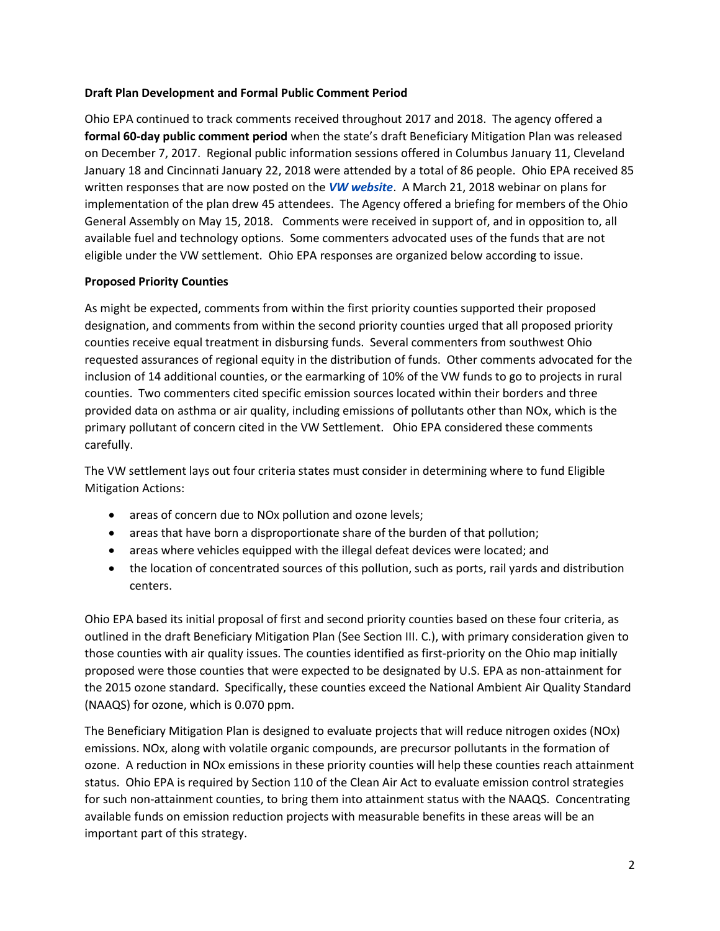## **Draft Plan Development and Formal Public Comment Period**

Ohio EPA continued to track comments received throughout 2017 and 2018. The agency offered a **formal 60-day public comment period** when the state's draft Beneficiary Mitigation Plan was released on December 7, 2017. Regional public information sessions offered in Columbus January 11, Cleveland January 18 and Cincinnati January 22, 2018 were attended by a total of 86 people. Ohio EPA received 85 written responses that are now posted on the *[VW website](http://epa.ohio.gov/oee/EnvironmentalEducation.aspx#131365122-vw-mitigation-grants)*. A March 21, 2018 webinar on plans for implementation of the plan drew 45 attendees. The Agency offered a briefing for members of the Ohio General Assembly on May 15, 2018. Comments were received in support of, and in opposition to, all available fuel and technology options. Some commenters advocated uses of the funds that are not eligible under the VW settlement. Ohio EPA responses are organized below according to issue.

## **Proposed Priority Counties**

As might be expected, comments from within the first priority counties supported their proposed designation, and comments from within the second priority counties urged that all proposed priority counties receive equal treatment in disbursing funds. Several commenters from southwest Ohio requested assurances of regional equity in the distribution of funds. Other comments advocated for the inclusion of 14 additional counties, or the earmarking of 10% of the VW funds to go to projects in rural counties. Two commenters cited specific emission sources located within their borders and three provided data on asthma or air quality, including emissions of pollutants other than NOx, which is the primary pollutant of concern cited in the VW Settlement. Ohio EPA considered these comments carefully.

The VW settlement lays out four criteria states must consider in determining where to fund Eligible Mitigation Actions:

- areas of concern due to NOx pollution and ozone levels;
- areas that have born a disproportionate share of the burden of that pollution;
- areas where vehicles equipped with the illegal defeat devices were located; and
- the location of concentrated sources of this pollution, such as ports, rail yards and distribution centers.

Ohio EPA based its initial proposal of first and second priority counties based on these four criteria, as outlined in the draft Beneficiary Mitigation Plan (See Section III. C.), with primary consideration given to those counties with air quality issues. The counties identified as first-priority on the Ohio map initially proposed were those counties that were expected to be designated by U.S. EPA as non-attainment for the 2015 ozone standard. Specifically, these counties exceed the National Ambient Air Quality Standard (NAAQS) for ozone, which is 0.070 ppm.

The Beneficiary Mitigation Plan is designed to evaluate projects that will reduce nitrogen oxides (NOx) emissions. NOx, along with volatile organic compounds, are precursor pollutants in the formation of ozone. A reduction in NOx emissions in these priority counties will help these counties reach attainment status. Ohio EPA is required by Section 110 of the Clean Air Act to evaluate emission control strategies for such non-attainment counties, to bring them into attainment status with the NAAQS. Concentrating available funds on emission reduction projects with measurable benefits in these areas will be an important part of this strategy.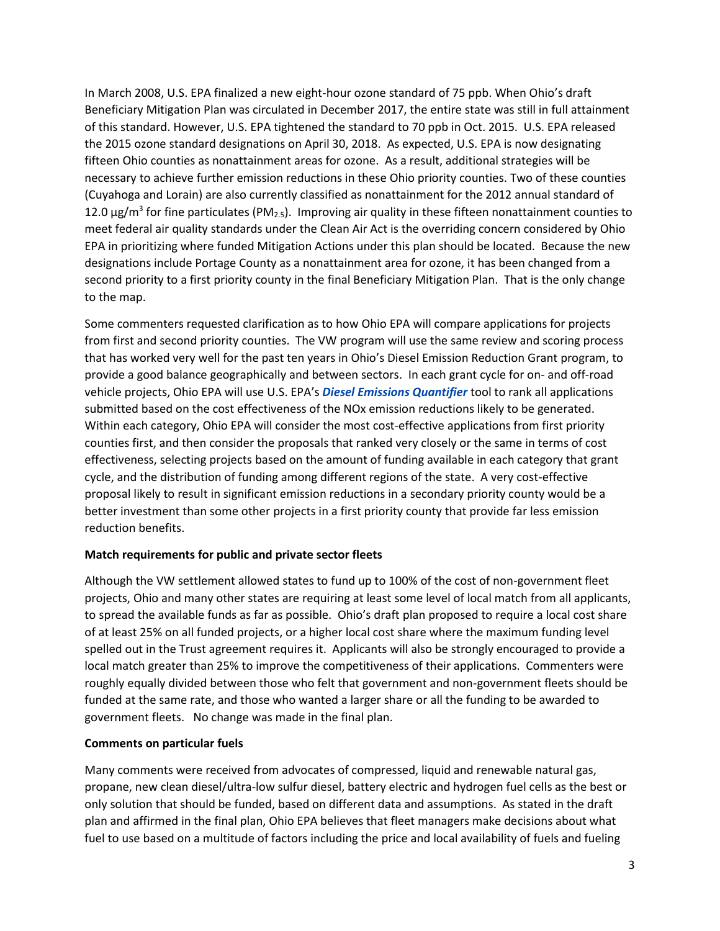In March 2008, U.S. EPA finalized a new eight-hour ozone standard of 75 ppb. When Ohio's draft Beneficiary Mitigation Plan was circulated in December 2017, the entire state was still in full attainment of this standard. However, U.S. EPA tightened the standard to 70 ppb in Oct. 2015. U.S. EPA released the 2015 ozone standard designations on April 30, 2018. As expected, U.S. EPA is now designating fifteen Ohio counties as nonattainment areas for ozone. As a result, additional strategies will be necessary to achieve further emission reductions in these Ohio priority counties. Two of these counties (Cuyahoga and Lorain) are also currently classified as nonattainment for the 2012 annual standard of 12.0  $\mu$ g/m<sup>3</sup> for fine particulates (PM<sub>2.5</sub>). Improving air quality in these fifteen nonattainment counties to meet federal air quality standards under the Clean Air Act is the overriding concern considered by Ohio EPA in prioritizing where funded Mitigation Actions under this plan should be located. Because the new designations include Portage County as a nonattainment area for ozone, it has been changed from a second priority to a first priority county in the final Beneficiary Mitigation Plan. That is the only change to the map.

Some commenters requested clarification as to how Ohio EPA will compare applications for projects from first and second priority counties. The VW program will use the same review and scoring process that has worked very well for the past ten years in Ohio's Diesel Emission Reduction Grant program, to provide a good balance geographically and between sectors. In each grant cycle for on- and off-road vehicle projects, Ohio EPA will use U.S. EPA's *[Diesel Emissions Quantifier](https://www.epa.gov/cleandiesel/diesel-emissions-quantifier-deq)* tool to rank all applications submitted based on the cost effectiveness of the NOx emission reductions likely to be generated. Within each category, Ohio EPA will consider the most cost-effective applications from first priority counties first, and then consider the proposals that ranked very closely or the same in terms of cost effectiveness, selecting projects based on the amount of funding available in each category that grant cycle, and the distribution of funding among different regions of the state. A very cost-effective proposal likely to result in significant emission reductions in a secondary priority county would be a better investment than some other projects in a first priority county that provide far less emission reduction benefits.

### **Match requirements for public and private sector fleets**

Although the VW settlement allowed states to fund up to 100% of the cost of non-government fleet projects, Ohio and many other states are requiring at least some level of local match from all applicants, to spread the available funds as far as possible. Ohio's draft plan proposed to require a local cost share of at least 25% on all funded projects, or a higher local cost share where the maximum funding level spelled out in the Trust agreement requires it. Applicants will also be strongly encouraged to provide a local match greater than 25% to improve the competitiveness of their applications. Commenters were roughly equally divided between those who felt that government and non-government fleets should be funded at the same rate, and those who wanted a larger share or all the funding to be awarded to government fleets. No change was made in the final plan.

### **Comments on particular fuels**

Many comments were received from advocates of compressed, liquid and renewable natural gas, propane, new clean diesel/ultra-low sulfur diesel, battery electric and hydrogen fuel cells as the best or only solution that should be funded, based on different data and assumptions. As stated in the draft plan and affirmed in the final plan, Ohio EPA believes that fleet managers make decisions about what fuel to use based on a multitude of factors including the price and local availability of fuels and fueling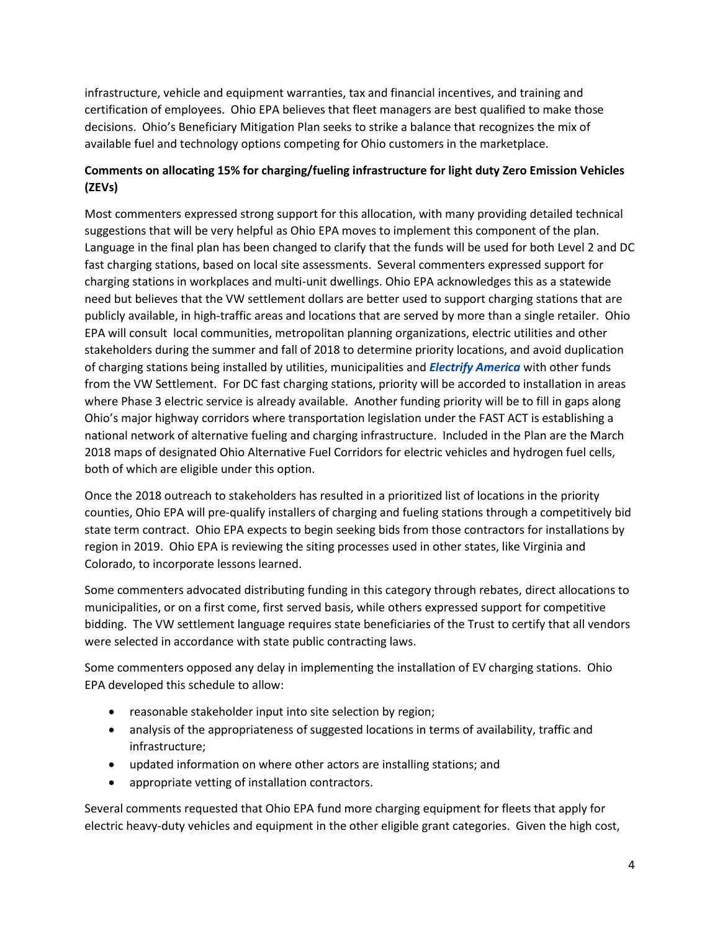infrastructure, vehicle and equipment warranties, tax and financial incentives, and training and certification of employees. Ohio EPA believes that fleet managers are best qualified to make those decisions. Ohio's Beneficiary Mitigation Plan seeks to strike a balance that recognizes the mix of available fuel and technology options competing for Ohio customers in the marketplace.

# **Comments on allocating 15% for charging/fueling infrastructure for light duty Zero Emission Vehicles (ZEVs)**

Most commenters expressed strong support for this allocation, with many providing detailed technical suggestions that will be very helpful as Ohio EPA moves to implement this component of the plan. Language in the final plan has been changed to clarify that the funds will be used for both Level 2 and DC fast charging stations, based on local site assessments. Several commenters expressed support for charging stations in workplaces and multi-unit dwellings. Ohio EPA acknowledges this as a statewide need but believes that the VW settlement dollars are better used to support charging stations that are publicly available, in high-traffic areas and locations that are served by more than a single retailer. Ohio EPA will consult local communities, metropolitan planning organizations, electric utilities and other stakeholders during the summer and fall of 2018 to determine priority locations, and avoid duplication of charging stations being installed by utilities, municipalities and *[Electrify America](https://www.electrifyamerica.com/)* with other funds from the VW Settlement. For DC fast charging stations, priority will be accorded to installation in areas where Phase 3 electric service is already available. Another funding priority will be to fill in gaps along Ohio's major highway corridors where transportation legislation under the FAST ACT is establishing a national network of alternative fueling and charging infrastructure. Included in the Plan are the March 2018 maps of designated Ohio Alternative Fuel Corridors for electric vehicles and hydrogen fuel cells, both of which are eligible under this option.

Once the 2018 outreach to stakeholders has resulted in a prioritized list of locations in the priority counties, Ohio EPA will pre-qualify installers of charging and fueling stations through a competitively bid state term contract. Ohio EPA expects to begin seeking bids from those contractors for installations by region in 2019. Ohio EPA is reviewing the siting processes used in other states, like Virginia and Colorado, to incorporate lessons learned.

Some commenters advocated distributing funding in this category through rebates, direct allocations to municipalities, or on a first come, first served basis, while others expressed support for competitive bidding. The VW settlement language requires state beneficiaries of the Trust to certify that all vendors were selected in accordance with state public contracting laws.

Some commenters opposed any delay in implementing the installation of EV charging stations. Ohio EPA developed this schedule to allow:

- reasonable stakeholder input into site selection by region;
- analysis of the appropriateness of suggested locations in terms of availability, traffic and infrastructure;
- updated information on where other actors are installing stations; and
- appropriate vetting of installation contractors.

Several comments requested that Ohio EPA fund more charging equipment for fleets that apply for electric heavy-duty vehicles and equipment in the other eligible grant categories. Given the high cost,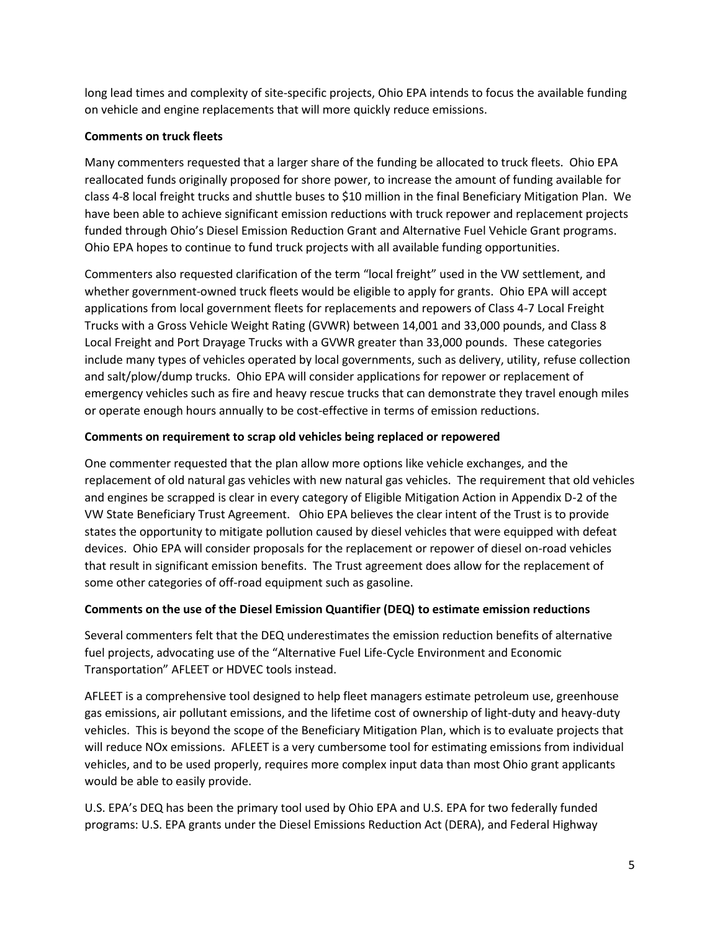long lead times and complexity of site-specific projects, Ohio EPA intends to focus the available funding on vehicle and engine replacements that will more quickly reduce emissions.

# **Comments on truck fleets**

Many commenters requested that a larger share of the funding be allocated to truck fleets. Ohio EPA reallocated funds originally proposed for shore power, to increase the amount of funding available for class 4-8 local freight trucks and shuttle buses to \$10 million in the final Beneficiary Mitigation Plan. We have been able to achieve significant emission reductions with truck repower and replacement projects funded through Ohio's Diesel Emission Reduction Grant and Alternative Fuel Vehicle Grant programs. Ohio EPA hopes to continue to fund truck projects with all available funding opportunities.

Commenters also requested clarification of the term "local freight" used in the VW settlement, and whether government-owned truck fleets would be eligible to apply for grants. Ohio EPA will accept applications from local government fleets for replacements and repowers of Class 4-7 Local Freight Trucks with a Gross Vehicle Weight Rating (GVWR) between 14,001 and 33,000 pounds, and Class 8 Local Freight and Port Drayage Trucks with a GVWR greater than 33,000 pounds. These categories include many types of vehicles operated by local governments, such as delivery, utility, refuse collection and salt/plow/dump trucks. Ohio EPA will consider applications for repower or replacement of emergency vehicles such as fire and heavy rescue trucks that can demonstrate they travel enough miles or operate enough hours annually to be cost-effective in terms of emission reductions.

## **Comments on requirement to scrap old vehicles being replaced or repowered**

One commenter requested that the plan allow more options like vehicle exchanges, and the replacement of old natural gas vehicles with new natural gas vehicles. The requirement that old vehicles and engines be scrapped is clear in every category of Eligible Mitigation Action in Appendix D-2 of the VW State Beneficiary Trust Agreement. Ohio EPA believes the clear intent of the Trust is to provide states the opportunity to mitigate pollution caused by diesel vehicles that were equipped with defeat devices. Ohio EPA will consider proposals for the replacement or repower of diesel on-road vehicles that result in significant emission benefits. The Trust agreement does allow for the replacement of some other categories of off-road equipment such as gasoline.

### **Comments on the use of the Diesel Emission Quantifier (DEQ) to estimate emission reductions**

Several commenters felt that the DEQ underestimates the emission reduction benefits of alternative fuel projects, advocating use of the "Alternative Fuel Life-Cycle Environment and Economic Transportation" AFLEET or HDVEC tools instead.

AFLEET is a comprehensive tool designed to help fleet managers estimate petroleum use, greenhouse gas emissions, air pollutant emissions, and the lifetime cost of ownership of light-duty and heavy-duty vehicles. This is beyond the scope of the Beneficiary Mitigation Plan, which is to evaluate projects that will reduce NOx emissions. AFLEET is a very cumbersome tool for estimating emissions from individual vehicles, and to be used properly, requires more complex input data than most Ohio grant applicants would be able to easily provide.

U.S. EPA's DEQ has been the primary tool used by Ohio EPA and U.S. EPA for two federally funded programs: U.S. EPA grants under the Diesel Emissions Reduction Act (DERA), and Federal Highway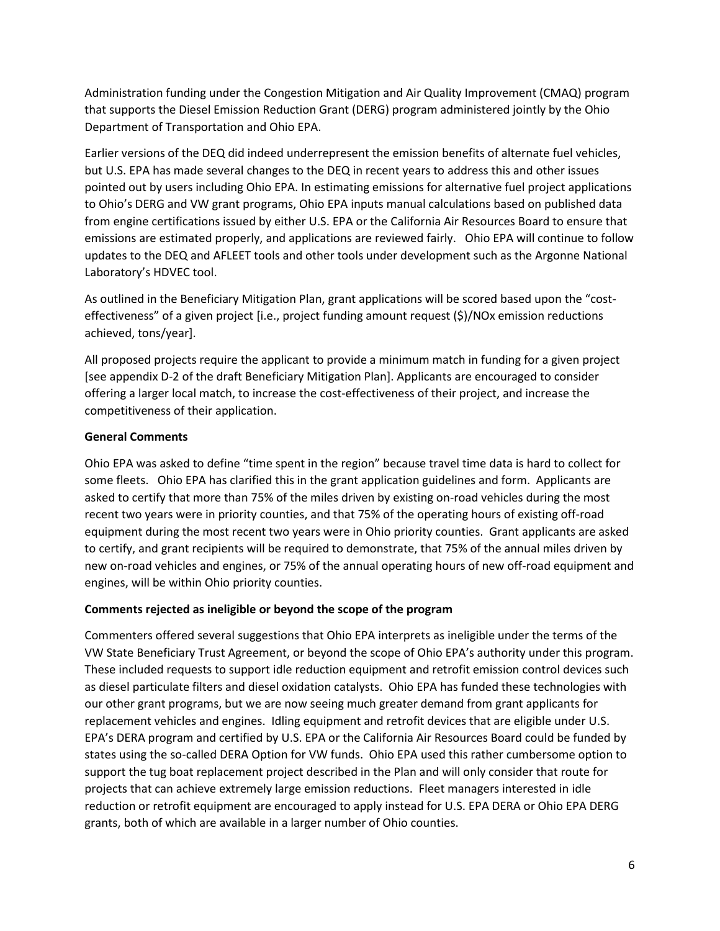Administration funding under the Congestion Mitigation and Air Quality Improvement (CMAQ) program that supports the Diesel Emission Reduction Grant (DERG) program administered jointly by the Ohio Department of Transportation and Ohio EPA.

Earlier versions of the DEQ did indeed underrepresent the emission benefits of alternate fuel vehicles, but U.S. EPA has made several changes to the DEQ in recent years to address this and other issues pointed out by users including Ohio EPA. In estimating emissions for alternative fuel project applications to Ohio's DERG and VW grant programs, Ohio EPA inputs manual calculations based on published data from engine certifications issued by either U.S. EPA or the California Air Resources Board to ensure that emissions are estimated properly, and applications are reviewed fairly. Ohio EPA will continue to follow updates to the DEQ and AFLEET tools and other tools under development such as the Argonne National Laboratory's HDVEC tool.

As outlined in the Beneficiary Mitigation Plan, grant applications will be scored based upon the "costeffectiveness" of a given project [i.e., project funding amount request (\$)/NOx emission reductions achieved, tons/year].

All proposed projects require the applicant to provide a minimum match in funding for a given project [see appendix D-2 of the draft Beneficiary Mitigation Plan]. Applicants are encouraged to consider offering a larger local match, to increase the cost-effectiveness of their project, and increase the competitiveness of their application.

## **General Comments**

Ohio EPA was asked to define "time spent in the region" because travel time data is hard to collect for some fleets. Ohio EPA has clarified this in the grant application guidelines and form. Applicants are asked to certify that more than 75% of the miles driven by existing on-road vehicles during the most recent two years were in priority counties, and that 75% of the operating hours of existing off-road equipment during the most recent two years were in Ohio priority counties. Grant applicants are asked to certify, and grant recipients will be required to demonstrate, that 75% of the annual miles driven by new on-road vehicles and engines, or 75% of the annual operating hours of new off-road equipment and engines, will be within Ohio priority counties.

### **Comments rejected as ineligible or beyond the scope of the program**

Commenters offered several suggestions that Ohio EPA interprets as ineligible under the terms of the VW State Beneficiary Trust Agreement, or beyond the scope of Ohio EPA's authority under this program. These included requests to support idle reduction equipment and retrofit emission control devices such as diesel particulate filters and diesel oxidation catalysts. Ohio EPA has funded these technologies with our other grant programs, but we are now seeing much greater demand from grant applicants for replacement vehicles and engines. Idling equipment and retrofit devices that are eligible under U.S. EPA's DERA program and certified by U.S. EPA or the California Air Resources Board could be funded by states using the so-called DERA Option for VW funds. Ohio EPA used this rather cumbersome option to support the tug boat replacement project described in the Plan and will only consider that route for projects that can achieve extremely large emission reductions. Fleet managers interested in idle reduction or retrofit equipment are encouraged to apply instead for U.S. EPA DERA or Ohio EPA DERG grants, both of which are available in a larger number of Ohio counties.